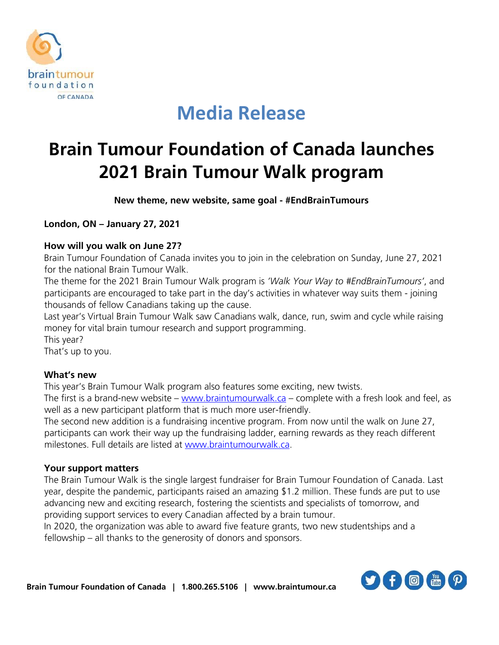

## **Media Release**

# *Brain Tumour Foundation of Canada launches 2021 Brain Tumour Walk program*

*New theme, new website, same goal - #EndBrainTumours*

*London, ON – January 27, 2021*

### *How will you walk on June 27?*

**Brain Tumour Foundation of Canada invites you to join in the celebration on Sunday, June 27, 2021 for the national Brain Tumour Walk.** 

**The theme for the 2021 Brain Tumour Walk program is** *'Walk Your Way to #EndBrainTumours'***, and participants are encouraged to take part in the day's activities in whatever way suits them - joining thousands of fellow Canadians taking up the cause.** 

**Last year's Virtual Brain Tumour Walk saw Canadians walk, dance, run, swim and cycle while raising money for vital brain tumour research and support programming.** 

**This year?** 

**That's up to you.** 

### *What's new*

**This year's Brain Tumour Walk program also features some exciting, new twists.**

**The first is a brand-new website – [www.braintumourwalk.ca](http://www.braintumourwalk.ca/) – complete with a fresh look and feel, as well as a new participant platform that is much more user-friendly.** 

**The second new addition is a fundraising incentive program. From now until the walk on June 27, participants can work their way up the fundraising ladder, earning rewards as they reach different milestones. Full details are listed at [www.braintumourwalk.ca.](http://www.braintumourwalk.ca/)**

### *Your support matters*

**The Brain Tumour Walk is the single largest fundraiser for Brain Tumour Foundation of Canada. Last year, despite the pandemic, participants raised an amazing \$1.2 million. These funds are put to use advancing new and exciting research, fostering the scientists and specialists of tomorrow, and providing support services to every Canadian affected by a brain tumour.** 

**In 2020, the organization was able to award five feature grants, two new studentships and a fellowship – all thanks to the generosity of donors and sponsors.**